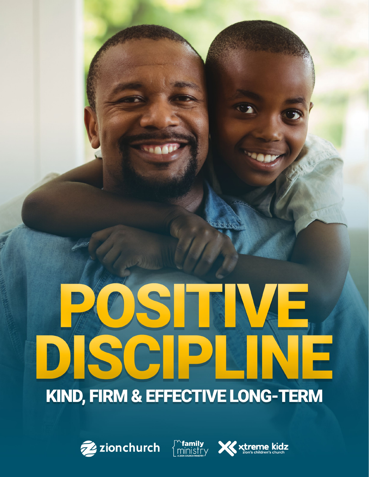# STRNE DISCIPLIN IF